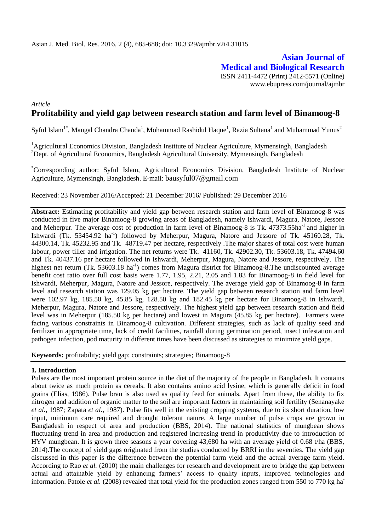## **Asian Journal of Medical and Biological Research** ISSN 2411-4472 (Print) 2412-5571 (Online) www.ebupress.com/journal/ajmbr

# *Article* **Profitability and yield gap between research station and farm level of Binamoog-8**

Syful Islam<sup>1\*</sup>, Mangal Chandra Chanda<sup>1</sup>, Mohammad Rashidul Haque<sup>1</sup>, Razia Sultana<sup>1</sup> and Muhammad Yunus<sup>2</sup>

<sup>1</sup> Agricultural Economics Division, Bangladesh Institute of Nuclear Agriculture, Mymensingh, Bangladesh <sup>2</sup>Dept. of Agricultural Economics, Bangladesh Agricultural University, Mymensingh, Bangladesh

\*Corresponding author: Syful Islam, Agricultural Economics Division, Bangladesh Institute of Nuclear Agriculture, Mymensingh, Bangladesh. E-mail: bausyful07@gmail.com

Received: 23 November 2016/Accepted: 21 December 2016/ Published: 29 December 2016

**Abstract:** Estimating profitability and yield gap between research station and farm level of Binamoog-8 was conducted in five major Binamoog-8 growing areas of Bangladesh, namely Ishwardi, Magura, Natore, Jessore and Meherpur. The average cost of production in farm level of Binamoog-8 is Tk. 47373.55ha<sup>-1</sup> and higher in Ishwardi (Tk. 53454.92 ha<sup>-1</sup>) followed by Meherpur, Magura, Natore and Jessore of Tk. 45160.28, Tk. 44300.14, Tk. 45232.95 and Tk. 48719.47 per hectare, respectively .The major shares of total cost were human labour, power tiller and irrigation. The net returns were Tk. 41160, Tk. 42902.30, Tk. 53603.18, Tk. 47494.60 and Tk. 40437.16 per hectare followed in Ishwardi, Meherpur, Magura, Natore and Jessore, respectively. The highest net return (Tk. 53603.18 ha<sup>-1</sup>) comes from Magura district for Binamoog-8. The undiscounted average benefit cost ratio over full cost basis were 1.77, 1.95, 2.21, 2.05 and 1.83 for Binamoog-8 in field level for Ishwardi, Meherpur, Magura, Natore and Jessore, respectively. The average yield gap of Binamoog-8 in farm level and research station was 129.05 kg per hectare. The yield gap between research station and farm level were 102.97 kg, 185.50 kg, 45.85 kg, 128.50 kg and 182.45 kg per hectare for Binamoog-8 in Ishwardi, Meherpur, Magura, Natore and Jessore, respectively. The highest yield gap between research station and field level was in Meherpur (185.50 kg per hectare) and lowest in Magura (45.85 kg per hectare). Farmers were facing various constraints in Binamoog-8 cultivation. Different strategies, such as lack of quality seed and fertilizer in appropriate time, lack of credit facilities, rainfall during germination period, insect infestation and pathogen infection, pod maturity in different times have been discussed as strategies to minimize yield gaps.

**Keywords:** profitability; yield gap; constraints; strategies; Binamoog-8

## **1. Introduction**

Pulses are the most important protein source in the diet of the majority of the people in Bangladesh. It contains about twice as much protein as cereals. It also contains amino acid lysine, which is generally deficit in food grains (Elias, 1986). Pulse bran is also used as quality feed for animals. Apart from these, the ability to fix nitrogen and addition of organic matter to the soil are important factors in maintaining soil fertility (Senanayake *et al.,* 1987; Zapata *et al.,* 1987). Pulse fits well in the existing cropping systems, due to its short duration, low input, minimum care required and drought tolerant nature. A large number of pulse crops are grown in Bangladesh in respect of area and production (BBS, 2014). The national statistics of mungbean shows fluctuating trend in area and production and registered increasing trend in productivity due to introduction of HYV mungbean. It is grown three seasons a year covering 43,680 ha with an average yield of 0.68 t/ha (BBS, 2014).The concept of yield gaps originated from the studies conducted by BRRI in the seventies. The yield gap discussed in this paper is the difference between the potential farm yield and the actual average farm yield. According to Rao *et al.* (2010) the main challenges for research and development are to bridge the gap between actual and attainable yield by enhancing farmers' access to quality inputs, improved technologies and information. Patole *et al.* (2008) revealed that total yield for the production zones ranged from 550 to 770 kg ha<sup>-</sup>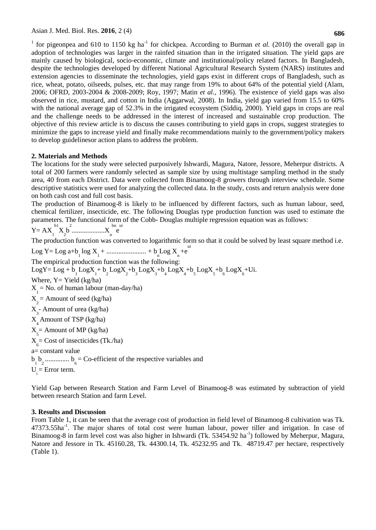<sup>1</sup> for pigeonpea and 610 to 1150 kg ha<sup>-1</sup> for chickpea. According to Burman *et al.* (2010) the overall gap in adoption of technologies was larger in the rainfed situation than in the irrigated situation. The yield gaps are mainly caused by biological, socio-economic, climate and institutional/policy related factors. In Bangladesh, despite the technologies developed by different National Agricultural Research System (NARS) institutes and extension agencies to disseminate the technologies, yield gaps exist in different crops of Bangladesh, such as rice, wheat, potato, oilseeds, pulses, etc. that may range from 19% to about 64% of the potential yield (Alam, 2006; OFRD, 2003-2004 & 2008-2009; Roy, 1997; Matin *et al.*, 1996). The existence of yield gaps was also observed in rice, mustard, and cotton in India (Aggarwal, 2008). In India, yield gap varied from 15.5 to 60% with the national average gap of 52.3% in the irrigated ecosystem (Siddiq, 2000). Yield gaps in crops are real and the challenge needs to be addressed in the interest of increased and sustainable crop production. The objective of this review article is to discuss the causes contributing to yield gaps in crops, suggest strategies to minimize the gaps to increase yield and finally make recommendations mainly to the government/policy makers to develop guidelinesor action plans to address the problem.

## **2. Materials and Methods**

The locations for the study were selected purposively Ishwardi, Magura, Natore, Jessore, Meherpur districts. A total of 200 farmers were randomly selected as sample size by using multistage sampling method in the study area, 40 from each District. Data were collected from Binamoog-8 growers through interview schedule. Some descriptive statistics were used for analyzing the collected data. In the study, costs and return analysis were done on both cash cost and full cost basis.

The production of Binamoog-8 is likely to be influenced by different factors, such as human labour, seed, chemical fertilizer, insecticide, etc. The following Douglas type production function was used to estimate the parameters. The functional form of the Cobb- Douglas multiple regression equation was as follows:

 $Y = AX_1$ b1 X 2 b 2 ...................X<sup>n</sup> bn e ui

The production function was converted to logarithmic form so that it could be solved by least square method i.e.

Log Y= Log a+b 1 log X<sup>1</sup> + ....................... + b n Log X<sup>n</sup> +e ui The empirical production function was the following: LogY= Log +  $b_1$  LogX<sub>1</sub>+  $b_2$  LogX<sub>2</sub>+ $b_3$  LogX<sub>3</sub>+ $b_4$  LogX<sub>4</sub>+ $b_5$  LogX<sub>5</sub>+ $b_6$  LogX<sub>6</sub>+Ui. Where,  $Y = Yield (kg/ha)$  $X_1$  = No. of human labour (man-day/ha)  $X_2$  = Amount of seed (kg/ha)  $X_3$ - Amount of urea (kg/ha) X 4 Amount of TSP (kg/ha)  $X_{5}$  = Amount of MP (kg/ha)  $X_{6}$  = Cost of insecticides (Tk./ha) a= constant value  $b_1$ ,  $b_2$  ...............  $b_6$  = Co-efficient of the respective variables and  $U_i$  = Error term.

Yield Gap between Research Station and Farm Level of Binamoog-8 was estimated by subtraction of yield between research Station and farm Level.

## **3. Results and Discussion**

From Table 1, it can be seen that the average cost of production in field level of Binamoog-8 cultivation was Tk. 47373.55ha<sup>-1</sup>. The major shares of total cost were human labour, power tiller and irrigation. In case of Binamoog-8 in farm level cost was also higher in Ishwardi (Tk. 53454.92 ha<sup>-1</sup>) followed by Meherpur, Magura, Natore and Jessore in Tk. 45160.28, Tk. 44300.14, Tk. 45232.95 and Tk. 48719.47 per hectare, respectively (Table 1).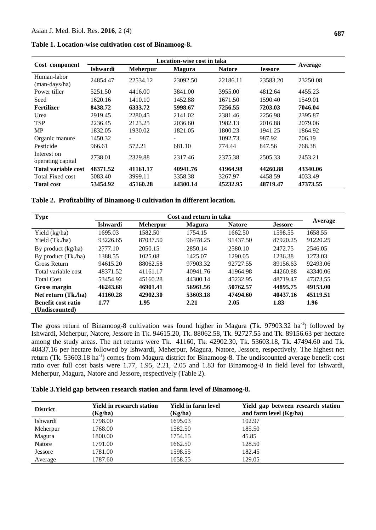|  | Table 1. Location-wise cultivation cost of Binamoog-8. |  |  |
|--|--------------------------------------------------------|--|--|
|  |                                                        |  |  |

| Cost component                   | Ishwardi | <b>Meherpur</b> | <b>Magura</b> | <b>Natore</b> | <b>Jessore</b> | Average  |
|----------------------------------|----------|-----------------|---------------|---------------|----------------|----------|
| Human-labor<br>(man-days/ha)     | 24854.47 | 22534.12        | 23092.50      | 22186.11      | 23583.20       | 23250.08 |
| Power tiller                     | 5251.50  | 4416.00         | 3841.00       | 3955.00       | 4812.64        | 4455.23  |
| Seed                             | 1620.16  | 1410.10         | 1452.88       | 1671.50       | 1590.40        | 1549.01  |
| <b>Fertilizer</b>                | 8438.72  | 6333.72         | 5998.67       | 7256.55       | 7203.03        | 7046.04  |
| Urea                             | 2919.45  | 2280.45         | 2141.02       | 2381.46       | 2256.98        | 2395.87  |
| <b>TSP</b>                       | 2236.45  | 2123.25         | 2036.60       | 1982.13       | 2016.88        | 2079.06  |
| <b>MP</b>                        | 1832.05  | 1930.02         | 1821.05       | 1800.23       | 1941.25        | 1864.92  |
| Organic manure                   | 1450.32  |                 |               | 1092.73       | 987.92         | 706.19   |
| Pesticide                        | 966.61   | 572.21          | 681.10        | 774.44        | 847.56         | 768.38   |
| Interest on<br>operating capital | 2738.01  | 2329.88         | 2317.46       | 2375.38       | 2505.33        | 2453.21  |
| <b>Total variable cost</b>       | 48371.52 | 41161.17        | 40941.76      | 41964.98      | 44260.88       | 43340.06 |
| <b>Total Fixed cost</b>          | 5083.40  | 3999.11         | 3358.38       | 3267.97       | 4458.59        | 4033.49  |
| <b>Total cost</b>                | 53454.92 | 45160.28        | 44300.14      | 45232.95      | 48719.47       | 47373.55 |

**Table 2. Profitability of Binamoog-8 cultivation in different location.**

| <b>Type</b>               | Cost and return in taka |                 |               |               |                |          |
|---------------------------|-------------------------|-----------------|---------------|---------------|----------------|----------|
|                           | <b>Ishwardi</b>         | <b>Meherpur</b> | <b>Magura</b> | <b>Natore</b> | <b>Jessore</b> | Average  |
| Yield (kg/ha)             | 1695.03                 | 1582.50         | 1754.15       | 1662.50       | 1598.55        | 1658.55  |
| Yield (Tk./ha)            | 93226.65                | 87037.50        | 96478.25      | 91437.50      | 87920.25       | 91220.25 |
| By product (kg/ha)        | 2777.10                 | 2050.15         | 2850.14       | 2580.10       | 2472.75        | 2546.05  |
| By product (Tk./ha)       | 1388.55                 | 1025.08         | 1425.07       | 1290.05       | 1236.38        | 1273.03  |
| <b>Gross Return</b>       | 94615.20                | 88062.58        | 97903.32      | 92727.55      | 89156.63       | 92493.06 |
| Total variable cost       | 48371.52                | 41161.17        | 40941.76      | 41964.98      | 44260.88       | 43340.06 |
| <b>Total Cost</b>         | 53454.92                | 45160.28        | 44300.14      | 45232.95      | 48719.47       | 47373.55 |
| Gross margin              | 46243.68                | 46901.41        | 56961.56      | 50762.57      | 44895.75       | 49153.00 |
| Net return (Tk./ha)       | 41160.28                | 42902.30        | 53603.18      | 47494.60      | 40437.16       | 45119.51 |
| <b>Benefit cost ratio</b> | 1.77                    | 1.95            | 2.21          | 2.05          | 1.83           | 1.96     |
| (Undiscounted)            |                         |                 |               |               |                |          |

The gross return of Binamoog-8 cultivation was found higher in Magura (Tk. 97903.32 ha<sup>-1</sup>) followed by Ishwardi, Meherpur, Natore, Jessore in Tk. 94615.20, Tk. 88062.58, Tk. 92727.55 and Tk. 89156.63 per hectare among the study areas. The net returns were Tk. 41160, Tk. 42902.30, Tk. 53603.18, Tk. 47494.60 and Tk. 40437.16 per hectare followed by Ishwardi, Meherpur, Magura, Natore, Jessore, respectively. The highest net return (Tk. 53603.18 ha<sup>-1</sup>) comes from Magura district for Binamoog-8. The undiscounted average benefit cost ratio over full cost basis were 1.77, 1.95, 2.21, 2.05 and 1.83 for Binamoog-8 in field level for Ishwardi, Meherpur, Magura, Natore and Jessore, respectively (Table 2).

## **Table 3.Yield gap between research station and farm level of Binamoog-8.**

| <b>District</b> | <b>Yield in research station</b><br>(Kg/ha) | <b>Yield in farm level</b><br>(Kg/ha) | Yield gap between research station<br>and farm level $(Kg/ha)$ |
|-----------------|---------------------------------------------|---------------------------------------|----------------------------------------------------------------|
| Ishwardi        | 1798.00                                     | 1695.03                               | 102.97                                                         |
| Meherpur        | 1768.00                                     | 1582.50                               | 185.50                                                         |
| Magura          | 1800.00                                     | 1754.15                               | 45.85                                                          |
| Natore          | 1791.00                                     | 1662.50                               | 128.50                                                         |
| Jessore         | 1781.00                                     | 1598.55                               | 182.45                                                         |
| Average         | 1787.60                                     | 1658.55                               | 129.05                                                         |